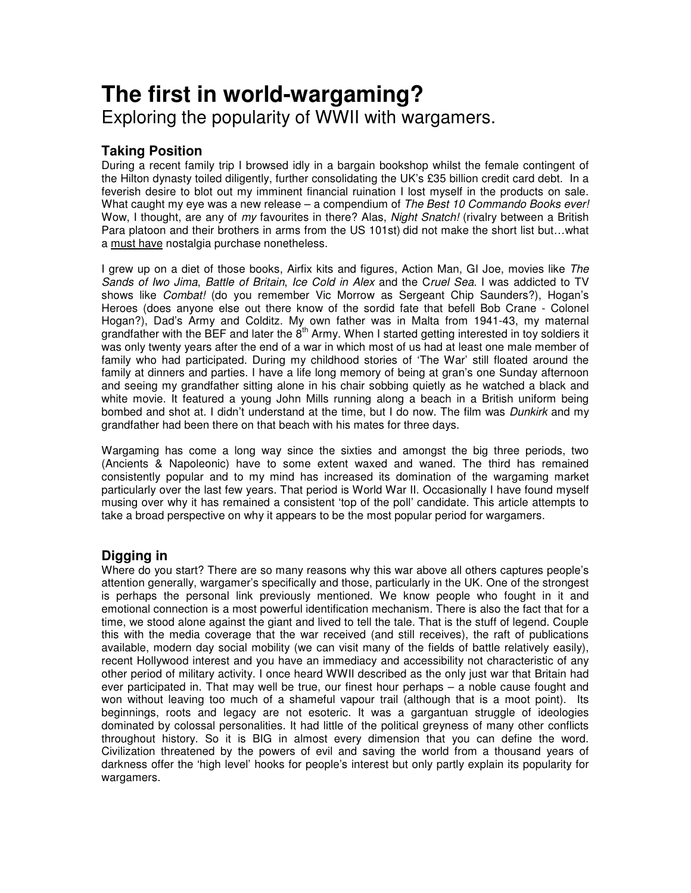# **The first in world-wargaming?** Exploring the popularity of WWII with wargamers.

## **Taking Position**

During a recent family trip I browsed idly in a bargain bookshop whilst the female contingent of the Hilton dynasty toiled diligently, further consolidating the UK's £35 billion credit card debt. In a feverish desire to blot out my imminent financial ruination I lost myself in the products on sale. What caught my eye was a new release – a compendium of *The Best 10 Commando Books ever!* Wow, I thought, are any of *my* favourites in there? Alas, *Night Snatch!* (rivalry between a British Para platoon and their brothers in arms from the US 101st) did not make the short list but…what a must have nostalgia purchase nonetheless.

I grew up on a diet of those books, Airfix kits and figures, Action Man, GI Joe, movies like *The Sands of Iwo Jima*, *Battle of Britain*, *Ice Cold in Alex* and the C*ruel Sea.* I was addicted to TV shows like *Combat!* (do you remember Vic Morrow as Sergeant Chip Saunders?), Hogan's Heroes (does anyone else out there know of the sordid fate that befell Bob Crane - Colonel Hogan?), Dad's Army and Colditz. My own father was in Malta from 1941-43, my maternal grandfather with the BEF and later the  $\dot{\bf{8}}^{\rm th}$  Army. When I started getting interested in toy soldiers it was only twenty years after the end of a war in which most of us had at least one male member of family who had participated. During my childhood stories of 'The War' still floated around the family at dinners and parties. I have a life long memory of being at gran's one Sunday afternoon and seeing my grandfather sitting alone in his chair sobbing quietly as he watched a black and white movie. It featured a young John Mills running along a beach in a British uniform being bombed and shot at. I didn't understand at the time, but I do now. The film was *Dunkirk* and my grandfather had been there on that beach with his mates for three days.

Wargaming has come a long way since the sixties and amongst the big three periods, two (Ancients & Napoleonic) have to some extent waxed and waned. The third has remained consistently popular and to my mind has increased its domination of the wargaming market particularly over the last few years. That period is World War II. Occasionally I have found myself musing over why it has remained a consistent 'top of the poll' candidate. This article attempts to take a broad perspective on why it appears to be the most popular period for wargamers.

## **Digging in**

Where do you start? There are so many reasons why this war above all others captures people's attention generally, wargamer's specifically and those, particularly in the UK. One of the strongest is perhaps the personal link previously mentioned. We know people who fought in it and emotional connection is a most powerful identification mechanism. There is also the fact that for a time, we stood alone against the giant and lived to tell the tale. That is the stuff of legend. Couple this with the media coverage that the war received (and still receives), the raft of publications available, modern day social mobility (we can visit many of the fields of battle relatively easily), recent Hollywood interest and you have an immediacy and accessibility not characteristic of any other period of military activity. I once heard WWII described as the only just war that Britain had ever participated in. That may well be true, our finest hour perhaps – a noble cause fought and won without leaving too much of a shameful vapour trail (although that is a moot point). Its beginnings, roots and legacy are not esoteric. It was a gargantuan struggle of ideologies dominated by colossal personalities. It had little of the political greyness of many other conflicts throughout history. So it is BIG in almost every dimension that you can define the word. Civilization threatened by the powers of evil and saving the world from a thousand years of darkness offer the 'high level' hooks for people's interest but only partly explain its popularity for wargamers.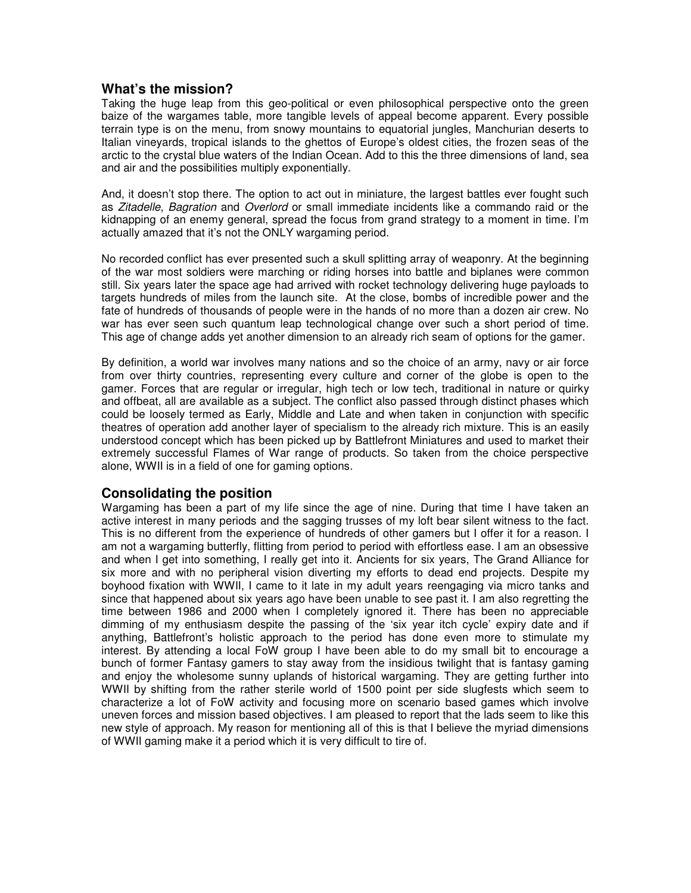#### **What's the mission?**

Taking the huge leap from this geo-political or even philosophical perspective onto the green baize of the wargames table, more tangible levels of appeal become apparent. Every possible terrain type is on the menu, from snowy mountains to equatorial jungles, Manchurian deserts to Italian vineyards, tropical islands to the ghettos of Europe's oldest cities, the frozen seas of the arctic to the crystal blue waters of the Indian Ocean. Add to this the three dimensions of land, sea and air and the possibilities multiply exponentially.

And, it doesn't stop there. The option to act out in miniature, the largest battles ever fought such as *Zitadelle*, *Bagration* and *Overlord* or small immediate incidents like a commando raid or the kidnapping of an enemy general, spread the focus from grand strategy to a moment in time. I'm actually amazed that it's not the ONLY wargaming period.

No recorded conflict has ever presented such a skull splitting array of weaponry. At the beginning of the war most soldiers were marching or riding horses into battle and biplanes were common still. Six years later the space age had arrived with rocket technology delivering huge payloads to targets hundreds of miles from the launch site. At the close, bombs of incredible power and the fate of hundreds of thousands of people were in the hands of no more than a dozen air crew. No war has ever seen such quantum leap technological change over such a short period of time. This age of change adds yet another dimension to an already rich seam of options for the gamer.

By definition, a world war involves many nations and so the choice of an army, navy or air force from over thirty countries, representing every culture and corner of the globe is open to the gamer. Forces that are regular or irregular, high tech or low tech, traditional in nature or quirky and offbeat, all are available as a subject. The conflict also passed through distinct phases which could be loosely termed as Early, Middle and Late and when taken in conjunction with specific theatres of operation add another layer of specialism to the already rich mixture. This is an easily understood concept which has been picked up by Battlefront Miniatures and used to market their extremely successful Flames of War range of products. So taken from the choice perspective alone, WWII is in a field of one for gaming options.

#### **Consolidating the position**

Wargaming has been a part of my life since the age of nine. During that time I have taken an active interest in many periods and the sagging trusses of my loft bear silent witness to the fact. This is no different from the experience of hundreds of other gamers but I offer it for a reason. I am not a wargaming butterfly, flitting from period to period with effortless ease. I am an obsessive and when I get into something, I really get into it. Ancients for six years, The Grand Alliance for six more and with no peripheral vision diverting my efforts to dead end projects. Despite my boyhood fixation with WWII, I came to it late in my adult years reengaging via micro tanks and since that happened about six years ago have been unable to see past it. I am also regretting the time between 1986 and 2000 when I completely ignored it. There has been no appreciable dimming of my enthusiasm despite the passing of the 'six year itch cycle' expiry date and if anything, Battlefront's holistic approach to the period has done even more to stimulate my interest. By attending a local FoW group I have been able to do my small bit to encourage a bunch of former Fantasy gamers to stay away from the insidious twilight that is fantasy gaming and enjoy the wholesome sunny uplands of historical wargaming. They are getting further into WWII by shifting from the rather sterile world of 1500 point per side slugfests which seem to characterize a lot of FoW activity and focusing more on scenario based games which involve uneven forces and mission based objectives. I am pleased to report that the lads seem to like this new style of approach. My reason for mentioning all of this is that I believe the myriad dimensions of WWII gaming make it a period which it is very difficult to tire of.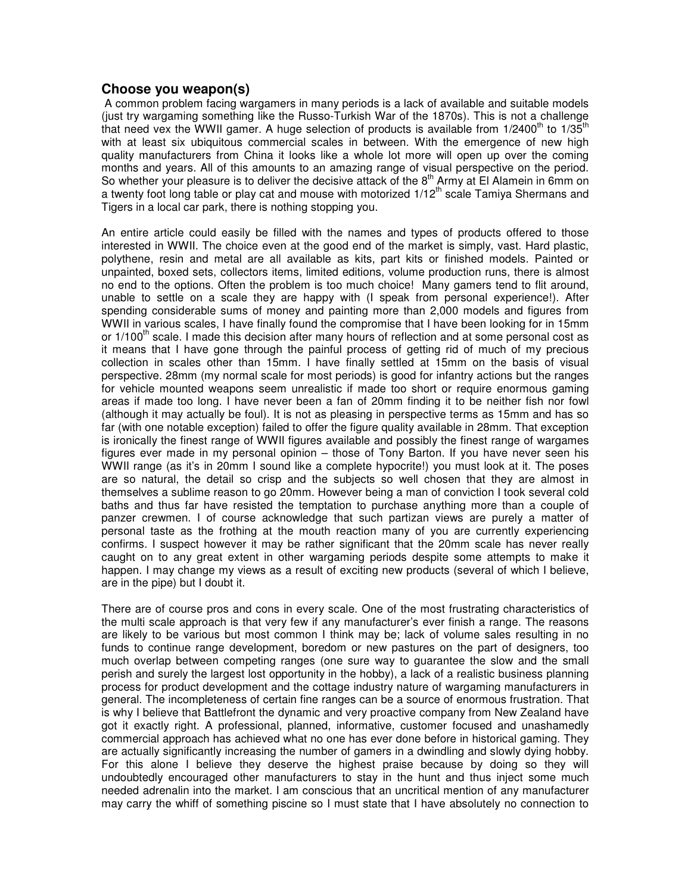#### **Choose you weapon(s)**

A common problem facing wargamers in many periods is a lack of available and suitable models (just try wargaming something like the Russo-Turkish War of the 1870s). This is not a challenge that need vex the WWII gamer. A huge selection of products is available from 1/2400<sup>th</sup> to 1/35<sup>th</sup> with at least six ubiquitous commercial scales in between. With the emergence of new high quality manufacturers from China it looks like a whole lot more will open up over the coming months and years. All of this amounts to an amazing range of visual perspective on the period. So whether your pleasure is to deliver the decisive attack of the  $8<sup>th</sup>$  Army at El Alamein in 6mm on a twenty foot long table or play cat and mouse with motorized 1/12<sup>th</sup> scale Tamiya Shermans and Tigers in a local car park, there is nothing stopping you.

An entire article could easily be filled with the names and types of products offered to those interested in WWII. The choice even at the good end of the market is simply, vast. Hard plastic, polythene, resin and metal are all available as kits, part kits or finished models. Painted or unpainted, boxed sets, collectors items, limited editions, volume production runs, there is almost no end to the options. Often the problem is too much choice! Many gamers tend to flit around, unable to settle on a scale they are happy with (I speak from personal experience!). After spending considerable sums of money and painting more than 2,000 models and figures from WWII in various scales, I have finally found the compromise that I have been looking for in 15mm or 1/100<sup>th</sup> scale. I made this decision after many hours of reflection and at some personal cost as it means that I have gone through the painful process of getting rid of much of my precious collection in scales other than 15mm. I have finally settled at 15mm on the basis of visual perspective. 28mm (my normal scale for most periods) is good for infantry actions but the ranges for vehicle mounted weapons seem unrealistic if made too short or require enormous gaming areas if made too long. I have never been a fan of 20mm finding it to be neither fish nor fowl (although it may actually be foul). It is not as pleasing in perspective terms as 15mm and has so far (with one notable exception) failed to offer the figure quality available in 28mm. That exception is ironically the finest range of WWII figures available and possibly the finest range of wargames figures ever made in my personal opinion – those of Tony Barton. If you have never seen his WWII range (as it's in 20mm I sound like a complete hypocrite!) you must look at it. The poses are so natural, the detail so crisp and the subjects so well chosen that they are almost in themselves a sublime reason to go 20mm. However being a man of conviction I took several cold baths and thus far have resisted the temptation to purchase anything more than a couple of panzer crewmen. I of course acknowledge that such partizan views are purely a matter of personal taste as the frothing at the mouth reaction many of you are currently experiencing confirms. I suspect however it may be rather significant that the 20mm scale has never really caught on to any great extent in other wargaming periods despite some attempts to make it happen. I may change my views as a result of exciting new products (several of which I believe, are in the pipe) but I doubt it.

There are of course pros and cons in every scale. One of the most frustrating characteristics of the multi scale approach is that very few if any manufacturer's ever finish a range. The reasons are likely to be various but most common I think may be; lack of volume sales resulting in no funds to continue range development, boredom or new pastures on the part of designers, too much overlap between competing ranges (one sure way to guarantee the slow and the small perish and surely the largest lost opportunity in the hobby), a lack of a realistic business planning process for product development and the cottage industry nature of wargaming manufacturers in general. The incompleteness of certain fine ranges can be a source of enormous frustration. That is why I believe that Battlefront the dynamic and very proactive company from New Zealand have got it exactly right. A professional, planned, informative, customer focused and unashamedly commercial approach has achieved what no one has ever done before in historical gaming. They are actually significantly increasing the number of gamers in a dwindling and slowly dying hobby. For this alone I believe they deserve the highest praise because by doing so they will undoubtedly encouraged other manufacturers to stay in the hunt and thus inject some much needed adrenalin into the market. I am conscious that an uncritical mention of any manufacturer may carry the whiff of something piscine so I must state that I have absolutely no connection to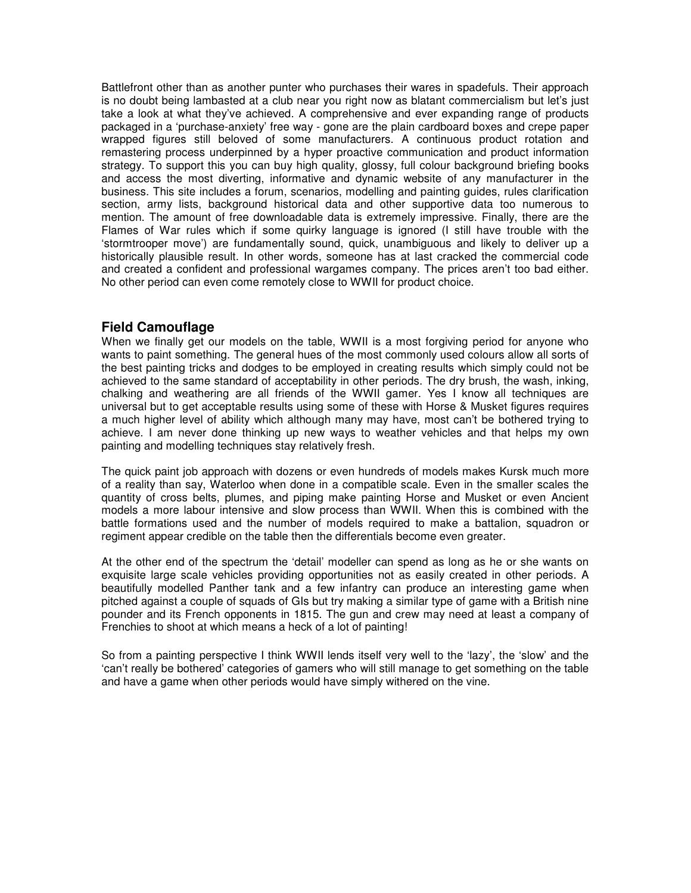Battlefront other than as another punter who purchases their wares in spadefuls. Their approach is no doubt being lambasted at a club near you right now as blatant commercialism but let's just take a look at what they've achieved. A comprehensive and ever expanding range of products packaged in a 'purchase-anxiety' free way - gone are the plain cardboard boxes and crepe paper wrapped figures still beloved of some manufacturers. A continuous product rotation and remastering process underpinned by a hyper proactive communication and product information strategy. To support this you can buy high quality, glossy, full colour background briefing books and access the most diverting, informative and dynamic website of any manufacturer in the business. This site includes a forum, scenarios, modelling and painting guides, rules clarification section, army lists, background historical data and other supportive data too numerous to mention. The amount of free downloadable data is extremely impressive. Finally, there are the Flames of War rules which if some quirky language is ignored (I still have trouble with the 'stormtrooper move') are fundamentally sound, quick, unambiguous and likely to deliver up a historically plausible result. In other words, someone has at last cracked the commercial code and created a confident and professional wargames company. The prices aren't too bad either. No other period can even come remotely close to WWII for product choice.

#### **Field Camouflage**

When we finally get our models on the table, WWII is a most forgiving period for anyone who wants to paint something. The general hues of the most commonly used colours allow all sorts of the best painting tricks and dodges to be employed in creating results which simply could not be achieved to the same standard of acceptability in other periods. The dry brush, the wash, inking, chalking and weathering are all friends of the WWII gamer. Yes I know all techniques are universal but to get acceptable results using some of these with Horse & Musket figures requires a much higher level of ability which although many may have, most can't be bothered trying to achieve. I am never done thinking up new ways to weather vehicles and that helps my own painting and modelling techniques stay relatively fresh.

The quick paint job approach with dozens or even hundreds of models makes Kursk much more of a reality than say, Waterloo when done in a compatible scale. Even in the smaller scales the quantity of cross belts, plumes, and piping make painting Horse and Musket or even Ancient models a more labour intensive and slow process than WWII. When this is combined with the battle formations used and the number of models required to make a battalion, squadron or regiment appear credible on the table then the differentials become even greater.

At the other end of the spectrum the 'detail' modeller can spend as long as he or she wants on exquisite large scale vehicles providing opportunities not as easily created in other periods. A beautifully modelled Panther tank and a few infantry can produce an interesting game when pitched against a couple of squads of GIs but try making a similar type of game with a British nine pounder and its French opponents in 1815. The gun and crew may need at least a company of Frenchies to shoot at which means a heck of a lot of painting!

So from a painting perspective I think WWII lends itself very well to the 'lazy', the 'slow' and the 'can't really be bothered' categories of gamers who will still manage to get something on the table and have a game when other periods would have simply withered on the vine.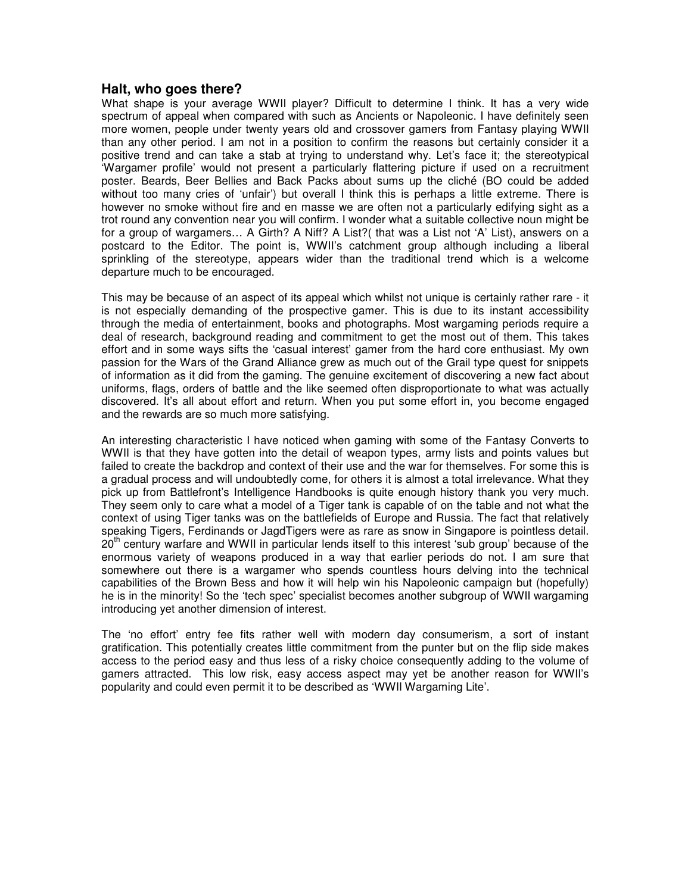#### **Halt, who goes there?**

What shape is your average WWII player? Difficult to determine I think. It has a very wide spectrum of appeal when compared with such as Ancients or Napoleonic. I have definitely seen more women, people under twenty years old and crossover gamers from Fantasy playing WWII than any other period. I am not in a position to confirm the reasons but certainly consider it a positive trend and can take a stab at trying to understand why. Let's face it; the stereotypical 'Wargamer profile' would not present a particularly flattering picture if used on a recruitment poster. Beards, Beer Bellies and Back Packs about sums up the cliché (BO could be added without too many cries of 'unfair') but overall I think this is perhaps a little extreme. There is however no smoke without fire and en masse we are often not a particularly edifying sight as a trot round any convention near you will confirm. I wonder what a suitable collective noun might be for a group of wargamers… A Girth? A Niff? A List?( that was a List not 'A' List), answers on a postcard to the Editor. The point is, WWII's catchment group although including a liberal sprinkling of the stereotype, appears wider than the traditional trend which is a welcome departure much to be encouraged.

This may be because of an aspect of its appeal which whilst not unique is certainly rather rare - it is not especially demanding of the prospective gamer. This is due to its instant accessibility through the media of entertainment, books and photographs. Most wargaming periods require a deal of research, background reading and commitment to get the most out of them. This takes effort and in some ways sifts the 'casual interest' gamer from the hard core enthusiast. My own passion for the Wars of the Grand Alliance grew as much out of the Grail type quest for snippets of information as it did from the gaming. The genuine excitement of discovering a new fact about uniforms, flags, orders of battle and the like seemed often disproportionate to what was actually discovered. It's all about effort and return. When you put some effort in, you become engaged and the rewards are so much more satisfying.

An interesting characteristic I have noticed when gaming with some of the Fantasy Converts to WWII is that they have gotten into the detail of weapon types, army lists and points values but failed to create the backdrop and context of their use and the war for themselves. For some this is a gradual process and will undoubtedly come, for others it is almost a total irrelevance. What they pick up from Battlefront's Intelligence Handbooks is quite enough history thank you very much. They seem only to care what a model of a Tiger tank is capable of on the table and not what the context of using Tiger tanks was on the battlefields of Europe and Russia. The fact that relatively speaking Tigers, Ferdinands or JagdTigers were as rare as snow in Singapore is pointless detail. 20<sup>th</sup> century warfare and WWII in particular lends itself to this interest 'sub group' because of the enormous variety of weapons produced in a way that earlier periods do not. I am sure that somewhere out there is a wargamer who spends countless hours delving into the technical capabilities of the Brown Bess and how it will help win his Napoleonic campaign but (hopefully) he is in the minority! So the 'tech spec' specialist becomes another subgroup of WWII wargaming introducing yet another dimension of interest.

The 'no effort' entry fee fits rather well with modern day consumerism, a sort of instant gratification. This potentially creates little commitment from the punter but on the flip side makes access to the period easy and thus less of a risky choice consequently adding to the volume of gamers attracted. This low risk, easy access aspect may yet be another reason for WWII's popularity and could even permit it to be described as 'WWII Wargaming Lite'.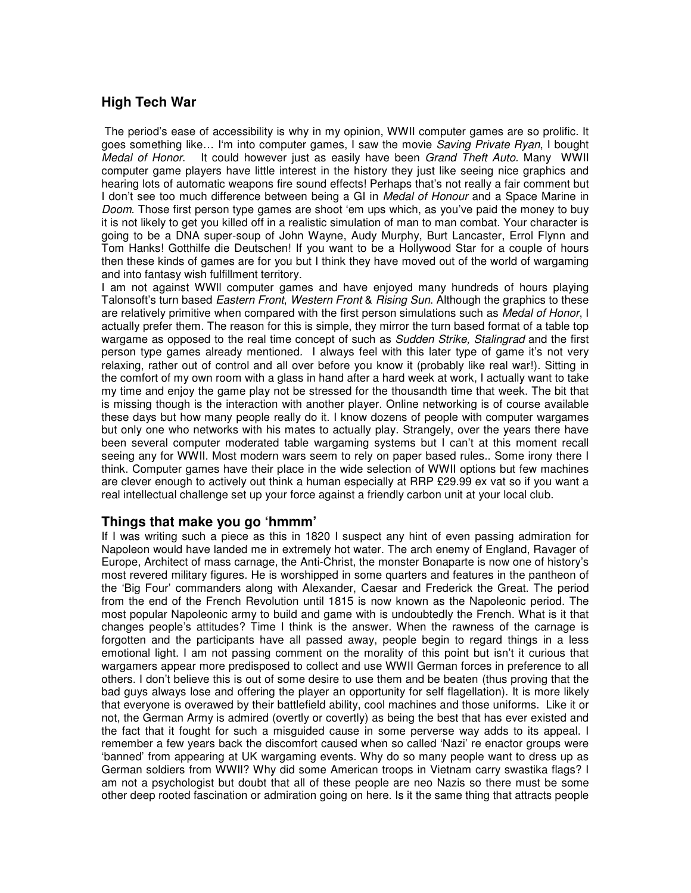## **High Tech War**

The period's ease of accessibility is why in my opinion, WWII computer games are so prolific. It goes something like… I'm into computer games, I saw the movie *Saving Private Ryan*, I bought *Medal of Honor*. It could however just as easily have been *Grand Theft Auto.* Many WWII computer game players have little interest in the history they just like seeing nice graphics and hearing lots of automatic weapons fire sound effects! Perhaps that's not really a fair comment but I don't see too much difference between being a GI in *Medal of Honour* and a Space Marine in *Doom*. Those first person type games are shoot 'em ups which, as you've paid the money to buy it is not likely to get you killed off in a realistic simulation of man to man combat. Your character is going to be a DNA super-soup of John Wayne, Audy Murphy, Burt Lancaster, Errol Flynn and Tom Hanks! Gotthilfe die Deutschen! If you want to be a Hollywood Star for a couple of hours then these kinds of games are for you but I think they have moved out of the world of wargaming and into fantasy wish fulfillment territory.

I am not against WWll computer games and have enjoyed many hundreds of hours playing Talonsoft's turn based *Eastern Front*, *Western Front* & *Rising Sun*. Although the graphics to these are relatively primitive when compared with the first person simulations such as *Medal of Honor*, I actually prefer them. The reason for this is simple, they mirror the turn based format of a table top wargame as opposed to the real time concept of such as *Sudden Strike, Stalingrad* and the first person type games already mentioned*.* I always feel with this later type of game it's not very relaxing, rather out of control and all over before you know it (probably like real war!). Sitting in the comfort of my own room with a glass in hand after a hard week at work, I actually want to take my time and enjoy the game play not be stressed for the thousandth time that week. The bit that is missing though is the interaction with another player. Online networking is of course available these days but how many people really do it. I know dozens of people with computer wargames but only one who networks with his mates to actually play. Strangely, over the years there have been several computer moderated table wargaming systems but I can't at this moment recall seeing any for WWII. Most modern wars seem to rely on paper based rules.. Some irony there I think. Computer games have their place in the wide selection of WWII options but few machines are clever enough to actively out think a human especially at RRP £29.99 ex vat so if you want a real intellectual challenge set up your force against a friendly carbon unit at your local club.

#### **Things that make you go 'hmmm'**

If I was writing such a piece as this in 1820 I suspect any hint of even passing admiration for Napoleon would have landed me in extremely hot water. The arch enemy of England, Ravager of Europe, Architect of mass carnage, the Anti-Christ, the monster Bonaparte is now one of history's most revered military figures. He is worshipped in some quarters and features in the pantheon of the 'Big Four' commanders along with Alexander, Caesar and Frederick the Great. The period from the end of the French Revolution until 1815 is now known as the Napoleonic period. The most popular Napoleonic army to build and game with is undoubtedly the French. What is it that changes people's attitudes? Time I think is the answer. When the rawness of the carnage is forgotten and the participants have all passed away, people begin to regard things in a less emotional light. I am not passing comment on the morality of this point but isn't it curious that wargamers appear more predisposed to collect and use WWII German forces in preference to all others. I don't believe this is out of some desire to use them and be beaten (thus proving that the bad guys always lose and offering the player an opportunity for self flagellation). It is more likely that everyone is overawed by their battlefield ability, cool machines and those uniforms. Like it or not, the German Army is admired (overtly or covertly) as being the best that has ever existed and the fact that it fought for such a misguided cause in some perverse way adds to its appeal. I remember a few years back the discomfort caused when so called 'Nazi' re enactor groups were 'banned' from appearing at UK wargaming events. Why do so many people want to dress up as German soldiers from WWII? Why did some American troops in Vietnam carry swastika flags? I am not a psychologist but doubt that all of these people are neo Nazis so there must be some other deep rooted fascination or admiration going on here. Is it the same thing that attracts people